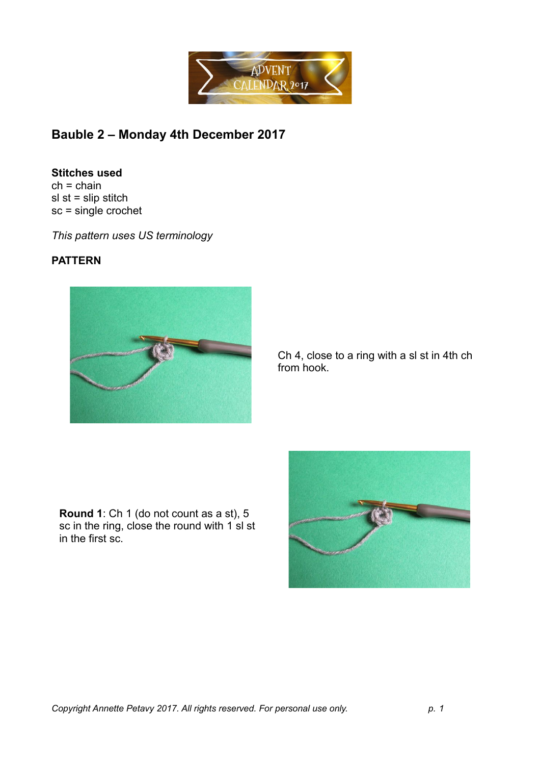

## **Bauble 2 – Monday 4th December 2017**

## **Stitches used**

 $ch = chain$  $sl$  st = slip stitch sc = single crochet

*This pattern uses US terminology*

## **PATTERN**



Ch 4, close to a ring with a sl st in 4th ch from hook.

**Round 1**: Ch 1 (do not count as a st), 5 sc in the ring, close the round with 1 sl st in the first sc.